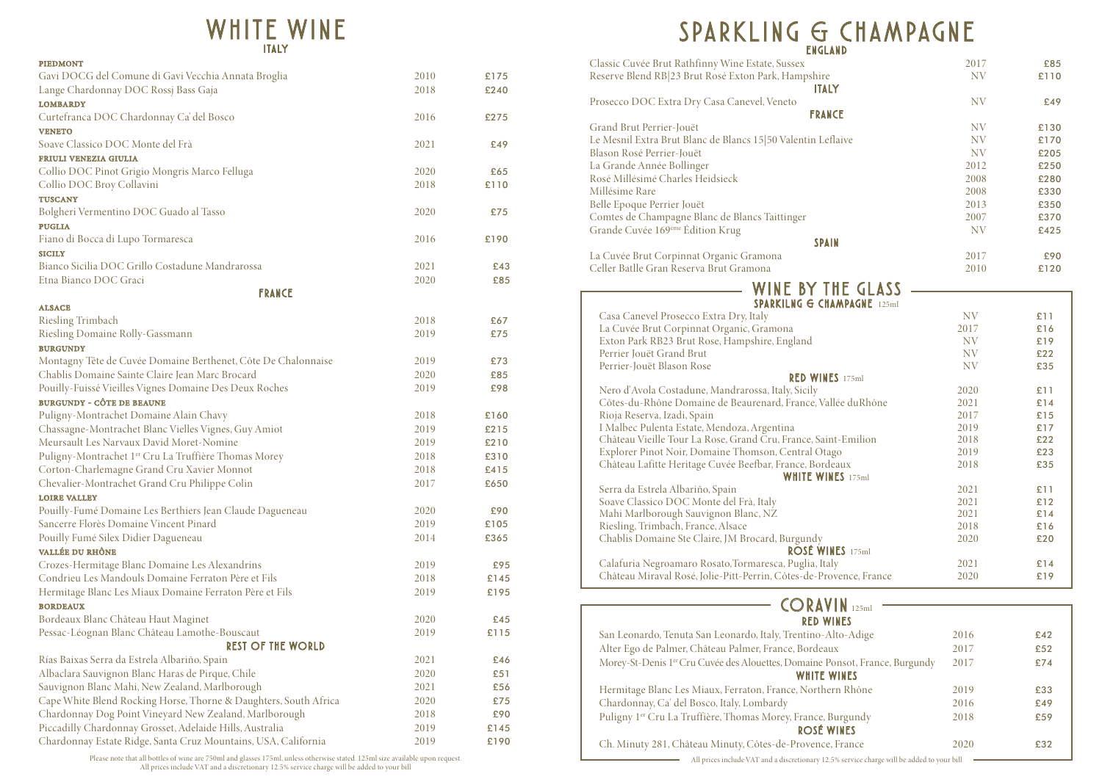### *WHITE WINE I TA LY*

| <b>ENGLAND</b>                                                     |           |      |
|--------------------------------------------------------------------|-----------|------|
| Classic Cuvée Brut Rathfinny Wine Estate, Sussex                   | 2017      | £85  |
| Reserve Blend RB 23 Brut Rosé Exton Park, Hampshire                | <b>NV</b> | £110 |
| <b>ITALY</b>                                                       |           |      |
| Prosecco DOC Extra Dry Casa Canevel, Veneto                        | <b>NV</b> | £49  |
| <b>FRANCE</b>                                                      |           |      |
| Grand Brut Perrier-Jouët                                           | <b>NV</b> | £130 |
| Le Mesnil Extra Brut Blanc de Blancs 15 50 Valentin Leflaive       | <b>NV</b> | £170 |
| Blason Rosé Perrier-Jouët                                          | <b>NV</b> | £205 |
| La Grande Année Bollinger                                          | 2012      | £250 |
| Rosé Millésimé Charles Heidsieck                                   | 2008      | £280 |
| Millésime Rare                                                     | 2008      | £330 |
| Belle Epoque Perrier Jouët                                         | 2013      | £350 |
| Comtes de Champagne Blanc de Blancs Taittinger                     | 2007      | £370 |
| Grande Cuvée 169ème Édition Krug                                   | <b>NV</b> | £425 |
| <b>SPAIN</b>                                                       |           |      |
| La Cuvée Brut Corpinnat Organic Gramona                            | 2017      | £90  |
| Celler Batlle Gran Reserva Brut Gramona                            | 2010      | £120 |
| WINE BY THE GLASS                                                  |           |      |
| <b>SPARKILNG G CHAMPAGNE 125ml</b>                                 |           |      |
| Casa Canevel Prosecco Extra Dry, Italy                             | <b>NV</b> | £11  |
| La Cuvée Brut Corpinnat Organic, Gramona                           | 2017      | £16  |
| Exton Park RB23 Brut Rose, Hampshire, England                      | <b>NV</b> | £19  |
| Perrier Jouët Grand Brut                                           | <b>NV</b> | £22  |
| Perrier-Jouët Blason Rose                                          | <b>NV</b> | £35  |
| RED WINES 175ml                                                    |           |      |
| Nero d'Avola Costadune, Mandrarossa, Italy, Sicily                 | 2020      | £11  |
| Côtes-du-Rhône Domaine de Beaurenard, France, Vallée du Rhône      | 2021      | £14  |
| Rioja Reserva, Izadi, Spain                                        | 2017      | £15  |
| I Malbec Pulenta Estate, Mendoza, Argentina                        | 2019      | £17  |
| Château Vieille Tour La Rose, Grand Cru, France, Saint-Emilion     | 2018      | £22  |
| Explorer Pinot Noir, Domaine Thomson, Central Otago                | 2019      | £23  |
| Château Lafitte Heritage Cuvée Beefbar, France, Bordeaux           | 2018      | £35  |
| <b>WHITE WINES</b> 175ml                                           |           |      |
| Serra da Estrela Albariño, Spain                                   | 2021      | £11  |
| Soave Classico DOC Monte del Frà, Italy                            | 2021      | £12  |
| Mahi Marlborough Sauvignon Blanc, NZ                               | 2021      | £14  |
| Riesling, Trimbach, France, Alsace                                 | 2018      | £16  |
| Chablis Domaine Ste Claire, JM Brocard, Burgundy                   | 2020      | £20  |
| ROSÉ WINES 175ml                                                   |           |      |
| Calafuria Negroamaro Rosato, Tormaresca, Puglia, Italy             | 2021      | £14  |
| Château Miraval Rosé, Jolie-Pitt-Perrin, Côtes-de-Provence, France | 2020      | £19  |

| <b>PIEDMONT</b>                                                           |      |      |
|---------------------------------------------------------------------------|------|------|
| Gavi DOCG del Comune di Gavi Vecchia Annata Broglia                       | 2010 | £175 |
| Lange Chardonnay DOC Rossj Bass Gaja                                      | 2018 | £240 |
| <b>LOMBARDY</b>                                                           |      |      |
| Curtefranca DOC Chardonnay Ca' del Bosco                                  | 2016 | £275 |
| <b>VENETO</b>                                                             |      |      |
| Soave Classico DOC Monte del Frà                                          | 2021 | £49  |
| FRIULI VENEZIA GIULIA                                                     |      |      |
| Collio DOC Pinot Grigio Mongris Marco Felluga                             | 2020 | £65  |
| Collio DOC Broy Collavini                                                 | 2018 | £110 |
| <b>TUSCANY</b>                                                            |      |      |
| Bolgheri Vermentino DOC Guado al Tasso                                    | 2020 | £75  |
| <b>PUGLIA</b>                                                             |      |      |
| Fiano di Bocca di Lupo Tormaresca                                         | 2016 | £190 |
| <b>SICILY</b>                                                             |      |      |
| Bianco Sicilia DOC Grillo Costadune Mandrarossa                           | 2021 | £43  |
| Etna Bianco DOC Graci                                                     | 2020 | £85  |
| <b>FRANCE</b>                                                             |      |      |
| <b>ALSACE</b>                                                             |      |      |
| Riesling Trimbach                                                         | 2018 | £67  |
| Riesling Domaine Rolly-Gassmann                                           | 2019 | £75  |
| <b>BURGUNDY</b>                                                           |      |      |
| Montagny Tête de Cuvée Domaine Berthenet, Côte De Chalonnaise             | 2019 | £73  |
| Chablis Domaine Sainte Claire Jean Marc Brocard                           | 2020 | £85  |
| Pouilly-Fuissé Vieilles Vignes Domaine Des Deux Roches                    | 2019 | £98  |
| <b>BURGUNDY - CÔTE DE BEAUNE</b>                                          |      |      |
| Puligny-Montrachet Domaine Alain Chavy                                    | 2018 | £160 |
| Chassagne-Montrachet Blanc Vielles Vignes, Guy Amiot                      | 2019 | £215 |
| Meursault Les Narvaux David Moret-Nomine                                  | 2019 | £210 |
| Puligny-Montrachet 1er Cru La Truffière Thomas Morey                      | 2018 | £310 |
| Corton-Charlemagne Grand Cru Xavier Monnot                                | 2018 | £415 |
| Chevalier-Montrachet Grand Cru Philippe Colin                             | 2017 | £650 |
| <b>LOIRE VALLEY</b>                                                       |      |      |
| Pouilly-Fumé Domaine Les Berthiers Jean Claude Dagueneau                  | 2020 | £90  |
| Sancerre Florès Domaine Vincent Pinard                                    | 2019 | £105 |
| Pouilly Fumé Silex Didier Dagueneau                                       | 2014 | £365 |
| VALLÉE DU RHÔNE                                                           |      |      |
| Crozes-Hermitage Blanc Domaine Les Alexandrins                            | 2019 | £95  |
| Condrieu Les Mandouls Domaine Ferraton Père et Fils                       | 2018 | £145 |
| Hermitage Blanc Les Miaux Domaine Ferraton Père et Fils                   | 2019 | £195 |
| <b>BORDEAUX</b>                                                           |      |      |
| Bordeaux Blanc Château Haut Maginet                                       | 2020 | £45  |
|                                                                           | 2019 | £115 |
| Pessac-Léognan Blanc Château Lamothe-Bouscaut<br><b>REST OF THE WORLD</b> |      |      |
|                                                                           | 2021 |      |
| Rías Baixas Serra da Estrela Albariño, Spain                              |      | £46  |
| Albaclara Sauvignon Blanc Haras de Pirque, Chile                          | 2020 | £51  |
| Sauvignon Blanc Mahi, New Zealand, Marlborough                            | 2021 | £56  |
| Cape White Blend Rocking Horse, Thorne & Daughters, South Africa          | 2020 | £75  |
| Chardonnay Dog Point Vineyard New Zealand, Marlborough                    | 2018 | £90  |
| Piccadilly Chardonnay Grosset, Adelaide Hills, Australia                  | 2019 | £145 |
| Chardonnay Estate Ridge, Santa Cruz Mountains, USA, California            | 2019 | £190 |

### **CORAV** *RED WINES*

San Leonardo, Tenuta San Leonardo, Italy, Trentino-Al Alter Ego de Palmer, Château Palmer, France, Bordeaux Morey-St-Denis 1<sup>er</sup> Cru Cuvée des Alouettes, Domaine Po **WHITE W** 

Hermitage Blanc Les Miaux, Ferraton, France, Norther Chardonnay, Ca' del Bosco, Italy, Lombardy

Puligny 1er Cru La Truffière, Thomas Morey, France, Burgundy 2018 **ROSÉ W** 

Ch. Minuty 281, Château Minuty, Côtes-de-Provence,

|                         | 2017      | £85  |
|-------------------------|-----------|------|
|                         | <b>NV</b> | £110 |
| Ý                       |           |      |
|                         |           |      |
|                         | <b>NV</b> | £49  |
| CE                      |           |      |
|                         | <b>NV</b> | £130 |
|                         |           |      |
| laive                   | <b>NV</b> | £170 |
|                         | <b>NV</b> | £205 |
|                         | 2012      | £250 |
|                         | 2008      | £280 |
|                         |           |      |
|                         | 2008      | £330 |
|                         | 2013      | £350 |
|                         | 2007      | £370 |
|                         | <b>NV</b> | £425 |
| N                       |           |      |
|                         |           |      |
|                         | 2017      | £90  |
|                         | 2010      | £120 |
|                         |           |      |
| <b>HE GLASS</b>         |           |      |
| MPAGNE 125ml            |           |      |
|                         |           |      |
|                         | <b>NV</b> | £11  |
|                         | 2017      | £16  |
|                         | <b>NV</b> | £19  |
|                         | <b>NV</b> | £22  |
|                         |           |      |
|                         | <b>NV</b> | £35  |
| 5175ml                  |           |      |
|                         | 2020      | £11  |
| lée duRhône             | 2021      | £14  |
|                         | 2017      | £15  |
|                         |           |      |
|                         | 2019      | £17  |
| t-Emilion               | 2018      | £22  |
| $\frac{3}{5}$           | 2019      | £23  |
| eaux                    | 2018      | £35  |
| $ES$ 175ml              |           |      |
|                         |           |      |
|                         | 2021      | £11  |
|                         | 2021      | £12  |
|                         | 2021      | £14  |
|                         | 2018      | £16  |
|                         | 2020      | £20  |
|                         |           |      |
| $ES$ 175ml              |           |      |
| y                       | 2021      | £14  |
| vence, France           | 2020      | £19  |
|                         |           |      |
|                         |           |      |
| IN<br>125ml             |           |      |
| <b>INES</b>             |           |      |
| lto-Adige               | 2016      | £42  |
|                         |           |      |
| X                       | 2017      | £52  |
| onsot, France, Burgundy | 2017      | £74  |
| VINES                   |           |      |
|                         |           |      |
| rn Rhône                | 2019      | £33  |
|                         | 2016      | £49  |
|                         | 2018      | £59  |
| urgundy                 |           |      |
| <b>INES</b>             |           |      |
| France                  | 2020      | £32  |
|                         |           |      |

Please note that all bottles of wine are 750ml and glasses 175ml, unless otherwise stated. 125ml size available upon request. All prices include VAT and a discretionary 12.5% service charge will be added to your bill<br>All prices include VAT and a discretionary 12.5% service charge will be added to your bill<br>All prices include VAT and a discretiona

# *SPARKLING & CHAMPAGNE*